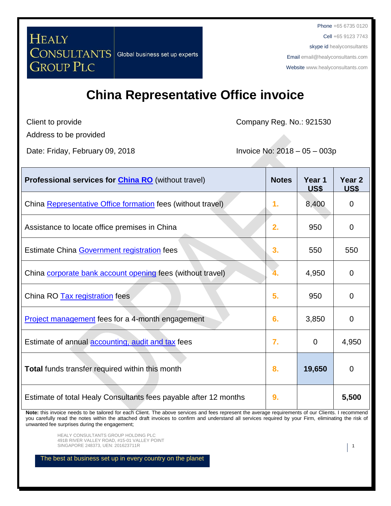Phone +65 6735 0120

Cell +65 9123 7743 skype id healyconsultants

Email [email@healyconsultants.com](mailto:EMAIL@HEALYCONSULTANTS.COM)

Websit[e www.healyconsultants.com](http://www.healyconsultants.com/)

# **China Representative Office invoice**

Client to provide

HEALY

Company Reg. No.: 921530

Address to be provided

**GROUP PLC** 

Date: Friday, February 09, 2018 **Invoice No: 2018 – 05 – 003p** 

CONSULTANTS Global business set up experts

| <b>Professional services for China RO</b> (without travel)       | <b>Notes</b> | Year 1<br><u>US\$</u> | Year <sub>2</sub><br><b>US\$</b> |
|------------------------------------------------------------------|--------------|-----------------------|----------------------------------|
| China Representative Office formation fees (without travel)      | 1.           | 8,400                 | 0                                |
| Assistance to locate office premises in China                    | 2.           | 950                   | $\overline{0}$                   |
| Estimate China Government registration fees                      | 3.           | 550                   | 550                              |
| China corporate bank account opening fees (without travel)       |              | 4,950                 | $\mathbf 0$                      |
| China RO Tax registration fees                                   | 5.           | 950                   | $\mathbf 0$                      |
| <b>Project management fees for a 4-month engagement</b>          | 6.           | 3,850                 | $\overline{0}$                   |
| Estimate of annual <b>accounting</b> , audit and tax fees        | 7.           | 0                     | 4,950                            |
| Total funds transfer required within this month                  | 8.           | 19,650                | $\mathbf 0$                      |
| Estimate of total Healy Consultants fees payable after 12 months | 9.           |                       | 5,500                            |

**Note:** this invoice needs to be tailored for each Client. The above services and fees represent the average requirements of our Clients. I recommend you carefully read the notes within the attached draft invoices to confirm and understand all services required by your Firm, eliminating the risk of unwanted fee surprises during the engagement;

HEALY CONSULTANTS GROUP HOLDING PLC 491B RIVER VALLEY ROAD, #15-01 VALLEY POINT SINGAPORE 248373, UEN: 201623711R 1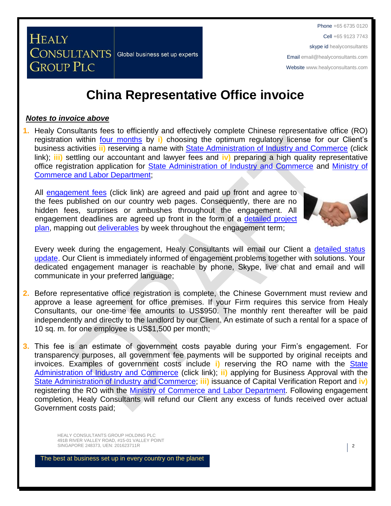Phone +65 6735 0120

Cell +65 9123 7743

skype id healyconsultants

Email [email@healyconsultants.com](mailto:EMAIL@HEALYCONSULTANTS.COM)

Websit[e www.healyconsultants.com](http://www.healyconsultants.com/)

# **China Representative Office invoice**

### *Notes to invoice above*

**GROUP PLC** 

**CONSULTANTS** Global business set up experts

**HEALY** 

**1.** Healy Consultants fees to efficiently and effectively complete Chinese representative office (RO) registration within [four months](http://www.healyconsultants.com/china-company-registration/fees-timelines/#timelines) by **i)** choosing the optimum regulatory license for our Client's business activities **ii)** reserving a name with [State Administration of Industry and Commerce](http://www.saic.gov.cn/english/) (click link); **iii)** settling our accountant and lawyer fees and **iv)** preparing a high quality representative office registration application for [State Administration of Industry and Commerce](http://www.saic.gov.cn/english/) and [Ministry of](http://english.mofcom.gov.cn/aarticle/policyrelease/internationalpolicy/200703/20070304475283.html)  [Commerce and Labor Department;](http://english.mofcom.gov.cn/aarticle/policyrelease/internationalpolicy/200703/20070304475283.html)

All [engagement fees](http://www.healyconsultants.com/company-registration-fees/) (click link) are agreed and paid up front and agree to the fees published on our country web pages. Consequently, there are no hidden fees, surprises or ambushes throughout the engagement. All engagement deadlines are agreed up front in the form of a [detailed project](http://www.healyconsultants.com/index-important-links/example-project-plan/)  [plan,](http://www.healyconsultants.com/index-important-links/example-project-plan/) mapping out [deliverables](http://www.healyconsultants.com/deliverables-to-our-clients/) by week throughout the engagement term;



Every week during the engagement, Healy Consultants will email our Client a detailed status [update.](http://www.healyconsultants.com/index-important-links/weekly-engagement-status-email/) Our Client is immediately informed of engagement problems together with solutions. Your dedicated engagement manager is reachable by phone, Skype, live chat and email and will communicate in your preferred language;

- **2.** Before representative office registration is complete, the Chinese Government must review and approve a lease agreement for office premises. If your Firm requires this service from Healy Consultants, our one-time fee amounts to US\$950. The monthly rent thereafter will be paid independently and directly to the landlord by our Client. An estimate of such a rental for a space of 10 sq. m. for one employee is US\$1,500 per month;
- **3.** This fee is an estimate of government costs payable during your Firm's engagement. For transparency purposes, all government fee payments will be supported by original receipts and invoices. Examples of government costs include **i)** reserving the RO name with the [State](http://www.saic.gov.cn/english/)  [Administration of Industry and Commerce](http://www.saic.gov.cn/english/) (click link); **ii)** applying for Business Approval with the State Administration of [Industry and Commerce;](http://www.saic.gov.cn/english/) **iii)** issuance of Capital Verification Report and **iv)** registering the RO with the [Ministry of Commerce and Labor Department.](http://english.mofcom.gov.cn/aarticle/policyrelease/internationalpolicy/200703/20070304475283.html) Following engagement completion, Healy Consultants will refund our Client any excess of funds received over actual Government costs paid;

HEALY CONSULTANTS GROUP HOLDING PLC 491B RIVER VALLEY ROAD, #15-01 VALLEY POINT SINGAPORE 248373, UEN: 201623711R 2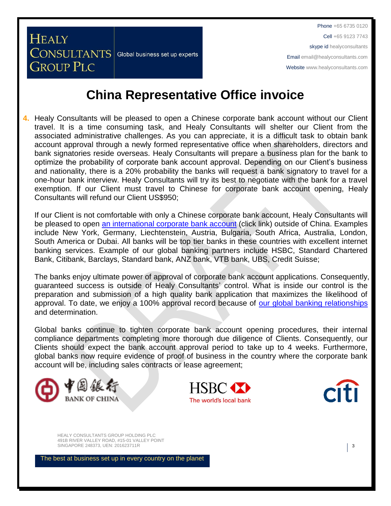## **China Representative Office invoice**

**4.** Healy Consultants will be pleased to open a Chinese corporate bank account without our Client travel. It is a time consuming task, and Healy Consultants will shelter our Client from the associated administrative challenges. As you can appreciate, it is a difficult task to obtain bank account approval through a newly formed representative office when shareholders, directors and bank signatories reside overseas. Healy Consultants will prepare a business plan for the bank to optimize the probability of corporate bank account approval. Depending on our Client's business and nationality, there is a 20% probability the banks will request a bank signatory to travel for a one-hour bank interview. Healy Consultants will try its best to negotiate with the bank for a travel exemption. If our Client must travel to Chinese for corporate bank account opening, Healy Consultants will refund our Client US\$950;

If our Client is not comfortable with only a Chinese corporate bank account, Healy Consultants will be pleased to open [an international corporate bank account](http://www.healyconsultants.com/international-banking/) (click link) outside of China. Examples include New York, Germany, Liechtenstein, Austria, Bulgaria, South Africa, Australia, London, South America or Dubai. All banks will be top tier banks in these countries with excellent internet banking services. Example of our global banking partners include HSBC, Standard Chartered Bank, Citibank, Barclays, Standard bank, ANZ bank, VTB bank, UBS, Credit Suisse;

The banks enjoy ultimate power of approval of corporate bank account applications. Consequently, guaranteed success is outside of Healy Consultants' control. What is inside our control is the preparation and submission of a high quality bank application that maximizes the likelihood of approval. To date, we enjoy a 100% approval record because of [our global banking relationships](http://www.healyconsultants.com/international-banking/corporate-accounts/) and determination.

Global banks continue to tighten corporate bank account opening procedures, their internal compliance departments completing more thorough due diligence of Clients. Consequently, our Clients should expect the bank account approval period to take up to 4 weeks. Furthermore, global banks now require evidence of proof of business in the country where the corporate bank account will be, including sales contracts or lease agreement;



**HEALY** 

**GROUP PLC** 

**CONSULTANTS** Global business set up experts





HEALY CONSULTANTS GROUP HOLDING PLC 491B RIVER VALLEY ROAD, #15-01 VALLEY POINT SINGAPORE 248373, UEN: 201623711R 3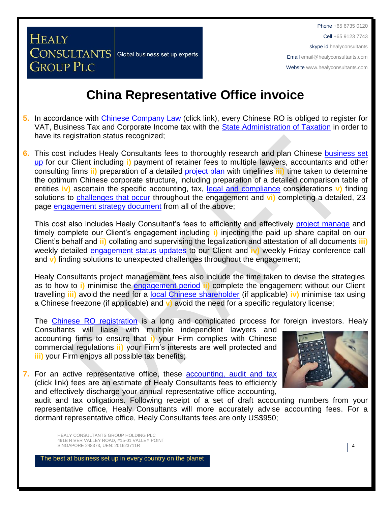### **China Representative Office invoice**

- **5.** In accordance with [Chinese Company Law](http://www.china.org.cn/government/laws/2007-06/06/content_1207345.htm) (click link), every Chinese RO is obliged to register for VAT, Business Tax and Corporate Income tax with the [State Administration of Taxation](http://www.chinatax.gov.cn/2013/n2925/) in order to have its registration status recognized;
- **6.** This cost includes Healy Consultants fees to thoroughly research and plan Chinese [business set](http://www.healyconsultants.com/china-company-registration/)  [up](http://www.healyconsultants.com/china-company-registration/) for our Client including **i)** payment of retainer fees to multiple lawyers, accountants and other consulting firms **ii)** preparation of a detailed [project plan](http://www.healyconsultants.com/index-important-links/example-project-plan/) with timelines **iii)** time taken to determine the optimum Chinese corporate structure, including preparation of a detailed comparison table of entities **iv)** ascertain the specific accounting, tax, [legal and compliance](http://www.healyconsultants.com/about-us/key-personnel/cai-xin-profile/) considerations **v)** finding solutions to [challenges that occur](http://www.healyconsultants.com/engagement-project-management/) throughout the engagement and **vi)** completing a detailed, 23 page [engagement strategy document](http://www.healyconsultants.com/engagement-strategy/) from all of the above;

This cost also includes Healy Consultant's fees to efficiently and effectively [project manage](http://www.healyconsultants.com/project-manage-engagements/) and timely complete our Client's engagement including **i)** injecting the paid up share capital on our Client's behalf and **ii)** collating and supervising the legalization and attestation of all documents **iii)**  weekly detailed [engagement status updates](http://www.healyconsultants.com/index-important-links/weekly-engagement-status-email/) to our Client and **iv)** weekly Friday conference call and **v)** finding solutions to unexpected challenges throughout the engagement;

Healy Consultants project management fees also include the time taken to devise the strategies as to how to **i)** minimise the [engagement period](http://www.healyconsultants.com/china-company-registration/fees-timelines/#timelines) **ii)** complete the engagement without our Client travelling **iii)** avoid the need for a [local Chinese shareholder](http://www.healyconsultants.com/support-services/) (if applicable) **iv)** minimise tax using a Chinese freezone (if applicable) and **v)** avoid the need for a specific regulatory license;

The [Chinese RO registration](http://www.healyconsultants.com/china-company-registration) is a long and complicated process for foreign investors. Healy

Consultants will liaise with multiple independent lawyers and accounting firms to ensure that **i)** your Firm complies with Chinese commercial regulations **ii)** your Firm's interests are well protected and **iii)** your Firm enjoys all possible tax benefits;





audit and tax obligations. Following receipt of a set of draft accounting numbers from your representative office, Healy Consultants will more accurately advise accounting fees. For a dormant representative office, Healy Consultants fees are only US\$950;

HEALY CONSULTANTS GROUP HOLDING PLC 491B RIVER VALLEY ROAD, #15-01 VALLEY POINT SINGAPORE 248373, UEN: 201623711R 4

**HEALY** 

**GROUP PLC** 

**CONSULTANTS** Global business set up experts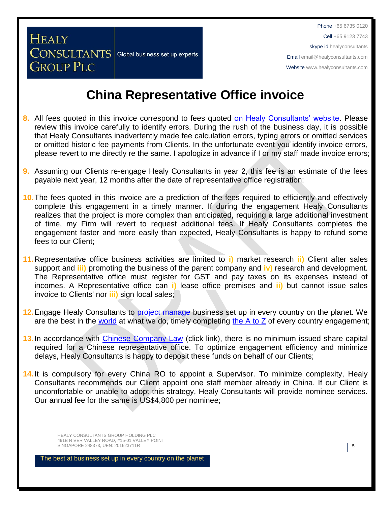## **China Representative Office invoice**

- **8.** All fees quoted in this invoice correspond to fees quoted [on Healy Consultants' website.](http://www.healyconsultants.com/company-registration-fees/) Please review this invoice carefully to identify errors. During the rush of the business day, it is possible that Healy Consultants inadvertently made fee calculation errors, typing errors or omitted services or omitted historic fee payments from Clients. In the unfortunate event you identify invoice errors, please revert to me directly re the same. I apologize in advance if I or my staff made invoice errors;
- **9.** Assuming our Clients re-engage Healy Consultants in year 2, this fee is an estimate of the fees payable next year, 12 months after the date of representative office registration;
- **10.**The fees quoted in this invoice are a prediction of the fees required to efficiently and effectively complete this engagement in a timely manner. If during the engagement Healy Consultants realizes that the project is more complex than anticipated, requiring a large additional investment of time, my Firm will revert to request additional fees. If Healy Consultants completes the engagement faster and more easily than expected, Healy Consultants is happy to refund some fees to our Client;
- **11.**Representative office business activities are limited to **i)** market research **ii)** Client after sales support and **iii)** promoting the business of the parent company and **iv)** research and development. The Representative office must register for GST and pay taxes on its expenses instead of incomes. A Representative office can **i)** lease office premises and **ii)** but cannot issue sales invoice to Clients' nor **iii)** sign local sales;
- **12.**Engage Healy Consultants to [project manage](http://www.healyconsultants.com/project-manage-engagements/) business set up in every country on the planet. We are the best in the [world](http://www.healyconsultants.com/best-in-the-world/) at what we do, timely completing the  $A$  to  $Z$  of every country engagement;
- **13.**In accordance with [Chinese Company Law](http://www.china.org.cn/government/laws/2007-06/06/content_1207345.htm) (click link), there is no minimum issued share capital required for a Chinese representative office. To optimize engagement efficiency and minimize delays, Healy Consultants is happy to deposit these funds on behalf of our Clients;
- 14. It is compulsory for every China RO to appoint a Supervisor. To minimize complexity, Healy Consultants recommends our Client appoint one staff member already in China. If our Client is uncomfortable or unable to adopt this strategy, Healy Consultants will provide nominee services. Our annual fee for the same is US\$4,800 per nominee;

HEALY CONSULTANTS GROUP HOLDING PLC 491B RIVER VALLEY ROAD, #15-01 VALLEY POINT SINGAPORE 248373, UEN: 201623711R **5** 

**HEALY** 

**GROUP PLC** 

**CONSULTANTS** Global business set up experts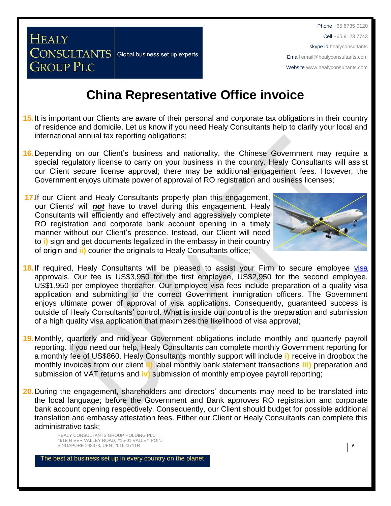## **China Representative Office invoice**

- **15.**It is important our Clients are aware of their personal and corporate tax obligations in their country of residence and domicile. Let us know if you need Healy Consultants help to clarify your local and international annual tax reporting obligations;
- **16.**Depending on our Client's business and nationality, the Chinese Government may require a special regulatory license to carry on your business in the country. Healy Consultants will assist our Client secure license approval; there may be additional engagement fees. However, the Government enjoys ultimate power of approval of RO registration and business licenses;
- **17.**If our Client and Healy Consultants properly plan this engagement, our Clients' will *not* have to travel during this engagement. Healy Consultants will efficiently and effectively and aggressively complete RO registration and corporate bank account opening in a timely manner without our Client's presence. Instead, our Client will need to **i)** sign and get documents legalized in the embassy in their country of origin and **ii)** courier the originals to Healy Consultants office;

**CONSULTANTS** Global business set up experts

**HEALY** 

**GROUP PLC** 



- 18. If required, Healy Consultants will be pleased to assist your Firm to secure employee [visa](http://www.healyconsultants.com/china-company-registration/formation-support-services/) approvals. Our fee is US\$3,950 for the first employee, US\$2,950 for the second employee, US\$1,950 per employee thereafter. Our employee visa fees include preparation of a quality visa application and submitting to the correct Government immigration officers. The Government enjoys ultimate power of approval of visa applications. Consequently, guaranteed success is outside of Healy Consultants' control. What is inside our control is the preparation and submission of a high quality visa application that maximizes the likelihood of visa approval;
- **19.**Monthly, quarterly and mid-year Government obligations include monthly and quarterly payroll reporting. If you need our help, Healy Consultants can complete monthly Government reporting for a monthly fee of US\$860. Healy Consultants monthly support will include **i)** receive in dropbox the monthly invoices from our client **ii)** label monthly bank statement transactions **iii)** preparation and submission of VAT returns and **iv)** submission of monthly employee payroll reporting;
- **20.**During the engagement, shareholders and directors' documents may need to be translated into the local language; before the Government and Bank approves RO registration and corporate bank account opening respectively. Consequently, our Client should budget for possible additional translation and embassy attestation fees. Either our Client or Healy Consultants can complete this administrative task;

HEALY CONSULTANTS GROUP HOLDING PLC 491B RIVER VALLEY ROAD, #15-01 VALLEY POINT SINGAPORE 248373, UEN: 201623711R **6**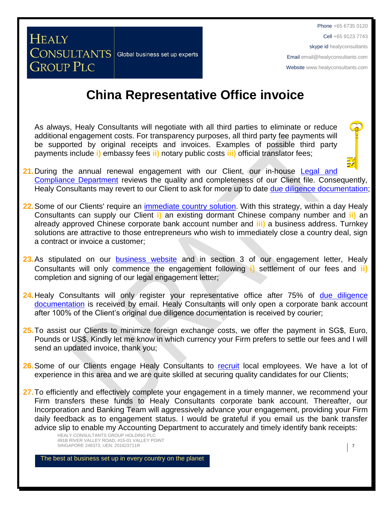Phone +65 6735 0120 Cell +65 9123 7743 skype id healyconsultants Email [email@healyconsultants.com](mailto:EMAIL@HEALYCONSULTANTS.COM)

Websit[e www.healyconsultants.com](http://www.healyconsultants.com/)

# **China Representative Office invoice**

As always, Healy Consultants will negotiate with all third parties to eliminate or reduce additional engagement costs. For transparency purposes, all third party fee payments will be supported by original receipts and invoices. Examples of possible third party payments include **i)** embassy fees **ii)** notary public costs **iii)** official translator fees;

- **21.** During the annual renewal engagement with our Client, our in-house Legal and [Compliance Department](http://www.healyconsultants.com/about-us/key-personnel/cai-xin-profile/) reviews the quality and completeness of our Client file. Consequently, Healy Consultants may revert to our Client to ask for more up to date [due diligence documentation;](http://www.healyconsultants.com/due-diligence/)
- **22.**Some of our Clients' require an [immediate country](http://www.healyconsultants.com/turnkey-solutions/) solution. With this strategy, within a day Healy Consultants can supply our Client **i)** an existing dormant Chinese company number and **ii)** an already approved Chinese corporate bank account number and **iii)** a business address. Turnkey solutions are attractive to those entrepreneurs who wish to immediately close a country deal, sign a contract or invoice a customer;
- 23. As stipulated on our [business website](http://www.healyconsultants.com/) and in section 3 of our engagement letter, Healy Consultants will only commence the engagement following **i)** settlement of our fees and **ii)** completion and signing of our legal engagement letter;
- 24. Healy Consultants will only register your representative office after 75% of due diligence [documentation](http://www.healyconsultants.com/due-diligence/) is received by email. Healy Consultants will only open a corporate bank account after 100% of the Client's original due diligence documentation is received by courier;
- **25.**To assist our Clients to minimize foreign exchange costs, we offer the payment in SG\$, Euro, Pounds or US\$. Kindly let me know in which currency your Firm prefers to settle our fees and I will send an updated invoice, thank you;
- 26. Some of our Clients engage Healy Consultants to [recruit](http://www.healyconsultants.com/corporate-outsourcing-services/how-we-help-our-clients-recruit-quality-employees/) local employees. We have a lot of experience in this area and we are quite skilled at securing quality candidates for our Clients;
- 27. To efficiently and effectively complete your engagement in a timely manner, we recommend your Firm transfers these funds to Healy Consultants corporate bank account. Thereafter, our Incorporation and Banking Team will aggressively advance your engagement, providing your Firm daily feedback as to engagement status. I would be grateful if you email us the bank transfer advice slip to enable my Accounting Department to accurately and timely identify bank receipts:

HEALY CONSULTANTS GROUP HOLDING PLC 491B RIVER VALLEY ROAD, #15-01 VALLEY POINT SINGAPORE 248373, UEN: 201623711R 7

**HEALY** 

**GROUP PLC** 

**CONSULTANTS** Global business set up experts